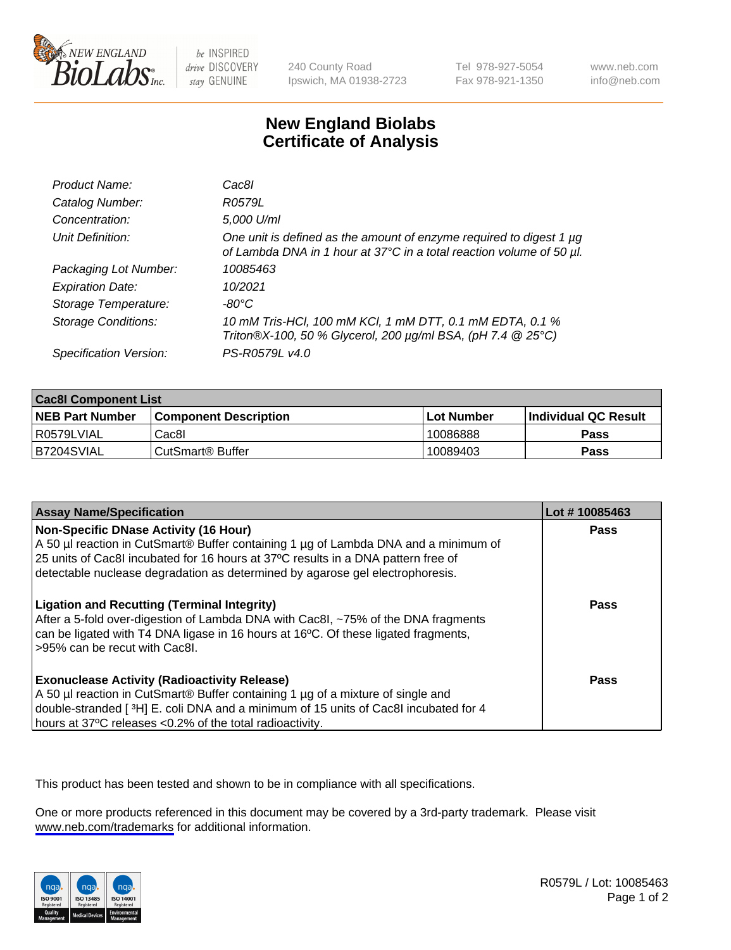

be INSPIRED drive DISCOVERY stay GENUINE

240 County Road Ipswich, MA 01938-2723 Tel 978-927-5054 Fax 978-921-1350

www.neb.com info@neb.com

## **New England Biolabs Certificate of Analysis**

| Product Name:              | Cac8I                                                                                                                                       |
|----------------------------|---------------------------------------------------------------------------------------------------------------------------------------------|
| Catalog Number:            | R0579L                                                                                                                                      |
| Concentration:             | 5,000 U/ml                                                                                                                                  |
| Unit Definition:           | One unit is defined as the amount of enzyme required to digest 1 µg<br>of Lambda DNA in 1 hour at 37°C in a total reaction volume of 50 µl. |
| Packaging Lot Number:      | 10085463                                                                                                                                    |
| <b>Expiration Date:</b>    | 10/2021                                                                                                                                     |
| Storage Temperature:       | $-80^{\circ}$ C                                                                                                                             |
| <b>Storage Conditions:</b> | 10 mM Tris-HCl, 100 mM KCl, 1 mM DTT, 0.1 mM EDTA, 0.1 %<br>Triton®X-100, 50 % Glycerol, 200 µg/ml BSA, (pH 7.4 @ 25°C)                     |
| Specification Version:     | PS-R0579L v4.0                                                                                                                              |

| <b>Cac8I Component List</b> |                               |                   |                        |  |
|-----------------------------|-------------------------------|-------------------|------------------------|--|
| <b>NEB Part Number</b>      | <b>Component Description</b>  | <b>Lot Number</b> | l Individual QC Result |  |
| R0579LVIAL                  | Cac8l                         | 10086888          | Pass                   |  |
| I B7204SVIAL                | <sup>l</sup> CutSmart® Buffer | 10089403          | Pass                   |  |

| <b>Assay Name/Specification</b>                                                                                                                                                                                                                                                                    | Lot #10085463 |
|----------------------------------------------------------------------------------------------------------------------------------------------------------------------------------------------------------------------------------------------------------------------------------------------------|---------------|
| Non-Specific DNase Activity (16 Hour)<br>A 50 µl reaction in CutSmart® Buffer containing 1 µg of Lambda DNA and a minimum of<br>25 units of Cac8I incubated for 16 hours at 37°C results in a DNA pattern free of<br>detectable nuclease degradation as determined by agarose gel electrophoresis. | Pass          |
| <b>Ligation and Recutting (Terminal Integrity)</b><br>After a 5-fold over-digestion of Lambda DNA with Cac8I, ~75% of the DNA fragments<br>can be ligated with T4 DNA ligase in 16 hours at 16 <sup>o</sup> C. Of these ligated fragments,<br>>95% can be recut with Cac8I.                        | Pass          |
| <b>Exonuclease Activity (Radioactivity Release)</b><br>A 50 µl reaction in CutSmart® Buffer containing 1 µg of a mixture of single and<br>double-stranded [3H] E. coli DNA and a minimum of 15 units of Cac8I incubated for 4<br>hours at 37°C releases <0.2% of the total radioactivity.          | <b>Pass</b>   |

This product has been tested and shown to be in compliance with all specifications.

One or more products referenced in this document may be covered by a 3rd-party trademark. Please visit <www.neb.com/trademarks>for additional information.